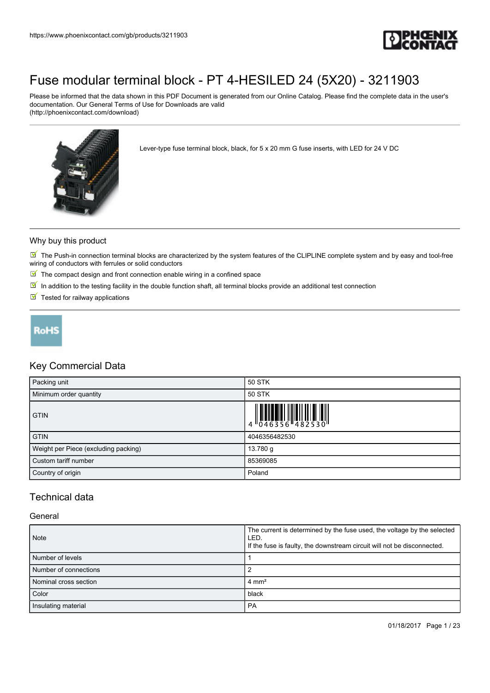

Please be informed that the data shown in this PDF Document is generated from our Online Catalog. Please find the complete data in the user's documentation. Our General Terms of Use for Downloads are valid (http://phoenixcontact.com/download)



Lever-type fuse terminal block, black, for 5 x 20 mm G fuse inserts, with LED for 24 V DC

#### Why buy this product

 $\blacksquare$  The Push-in connection terminal blocks are characterized by the system features of the CLIPLINE complete system and by easy and tool-free wiring of conductors with ferrules or solid conductors

- $\blacksquare$  The compact design and front connection enable wiring in a confined space
- $\boxed{\blacksquare}$  In addition to the testing facility in the double function shaft, all terminal blocks provide an additional test connection
- $\blacksquare$  Tested for railway applications



### Key Commercial Data

| Packing unit                         | 50 STK                                                                    |
|--------------------------------------|---------------------------------------------------------------------------|
| Minimum order quantity               | 50 STK                                                                    |
| <b>GTIN</b>                          | $\begin{array}{c} 1 & 0 & 0 & 0 \\ 0 & 0 & 4 & 6 & 3 & 5 & 6 \end{array}$ |
| <b>GTIN</b>                          | 4046356482530                                                             |
| Weight per Piece (excluding packing) | 13.780 g                                                                  |
| Custom tariff number                 | 85369085                                                                  |
| Country of origin                    | Poland                                                                    |

### Technical data

#### General

| Note                  | The current is determined by the fuse used, the voltage by the selected<br>LED.<br>If the fuse is faulty, the downstream circuit will not be disconnected. |
|-----------------------|------------------------------------------------------------------------------------------------------------------------------------------------------------|
| Number of levels      |                                                                                                                                                            |
| Number of connections |                                                                                                                                                            |
| Nominal cross section | $4 \text{ mm}^2$                                                                                                                                           |
| Color                 | black                                                                                                                                                      |
| Insulating material   | <b>PA</b>                                                                                                                                                  |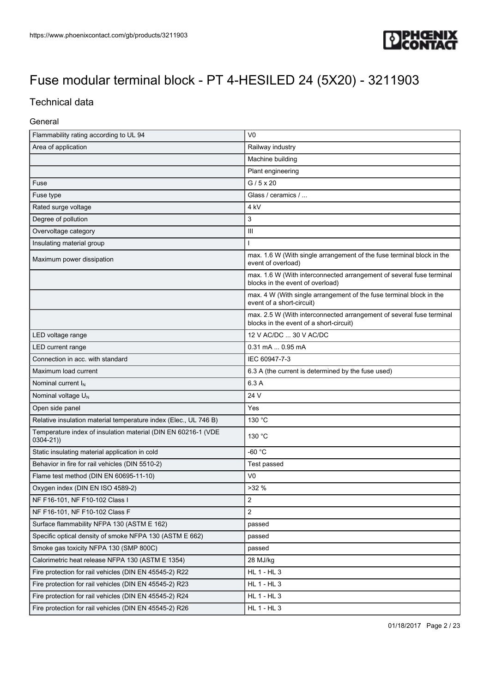

### Technical data

### General

| Flammability rating according to UL 94                                        | V <sub>0</sub>                                                                                                  |  |
|-------------------------------------------------------------------------------|-----------------------------------------------------------------------------------------------------------------|--|
| Area of application                                                           | Railway industry                                                                                                |  |
|                                                                               | Machine building                                                                                                |  |
|                                                                               | Plant engineering                                                                                               |  |
| Fuse                                                                          | $G/5 \times 20$                                                                                                 |  |
| Fuse type                                                                     | Glass / ceramics /                                                                                              |  |
| Rated surge voltage                                                           | 4 <sub>kV</sub>                                                                                                 |  |
| Degree of pollution                                                           | 3                                                                                                               |  |
| Overvoltage category                                                          | Ш                                                                                                               |  |
| Insulating material group                                                     |                                                                                                                 |  |
| Maximum power dissipation                                                     | max. 1.6 W (With single arrangement of the fuse terminal block in the<br>event of overload)                     |  |
|                                                                               | max. 1.6 W (With interconnected arrangement of several fuse terminal<br>blocks in the event of overload)        |  |
|                                                                               | max. 4 W (With single arrangement of the fuse terminal block in the<br>event of a short-circuit)                |  |
|                                                                               | max. 2.5 W (With interconnected arrangement of several fuse terminal<br>blocks in the event of a short-circuit) |  |
| LED voltage range                                                             | 12 V AC/DC  30 V AC/DC                                                                                          |  |
| LED current range                                                             | $0.31$ mA $\dots$ 0.95 mA                                                                                       |  |
| Connection in acc. with standard                                              | IEC 60947-7-3                                                                                                   |  |
| Maximum load current                                                          | 6.3 A (the current is determined by the fuse used)                                                              |  |
| Nominal current $I_N$                                                         | 6.3 A                                                                                                           |  |
| Nominal voltage $U_N$                                                         | 24 V                                                                                                            |  |
| Open side panel                                                               | Yes                                                                                                             |  |
| Relative insulation material temperature index (Elec., UL 746 B)              | 130 °C                                                                                                          |  |
| Temperature index of insulation material (DIN EN 60216-1 (VDE<br>$0304 - 21)$ | 130 °C                                                                                                          |  |
| Static insulating material application in cold                                | -60 °C                                                                                                          |  |
| Behavior in fire for rail vehicles (DIN 5510-2)                               | Test passed                                                                                                     |  |
| Flame test method (DIN EN 60695-11-10)                                        | V <sub>0</sub>                                                                                                  |  |
| Oxygen index (DIN EN ISO 4589-2)                                              | >32%                                                                                                            |  |
| NF F16-101, NF F10-102 Class I                                                | $\mathbf{z}$                                                                                                    |  |
| NF F16-101, NF F10-102 Class F                                                | $\overline{2}$                                                                                                  |  |
| Surface flammability NFPA 130 (ASTM E 162)                                    | passed                                                                                                          |  |
| Specific optical density of smoke NFPA 130 (ASTM E 662)                       | passed                                                                                                          |  |
| Smoke gas toxicity NFPA 130 (SMP 800C)                                        | passed                                                                                                          |  |
| Calorimetric heat release NFPA 130 (ASTM E 1354)                              | 28 MJ/kg                                                                                                        |  |
| Fire protection for rail vehicles (DIN EN 45545-2) R22                        | HL 1 - HL 3                                                                                                     |  |
| Fire protection for rail vehicles (DIN EN 45545-2) R23                        | HL 1 - HL 3                                                                                                     |  |
| Fire protection for rail vehicles (DIN EN 45545-2) R24                        | HL 1 - HL 3                                                                                                     |  |
| Fire protection for rail vehicles (DIN EN 45545-2) R26                        | HL 1 - HL 3                                                                                                     |  |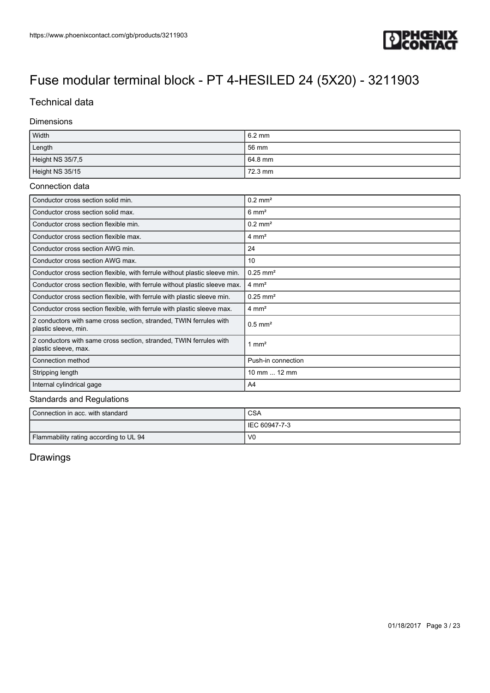

### Technical data

#### Dimensions

| Width            | $6.2 \text{ mm}$ |
|------------------|------------------|
| Length           | 56 mm            |
| Height NS 35/7,5 | 64.8 mm          |
| Height NS 35/15  | 72.3 mm          |

#### Connection data

| Conductor cross section solid min.                                                         | $0.2$ mm <sup>2</sup>  |
|--------------------------------------------------------------------------------------------|------------------------|
| Conductor cross section solid max.                                                         | $6 \text{ mm}^2$       |
| Conductor cross section flexible min.                                                      | $0.2 \text{ mm}^2$     |
| Conductor cross section flexible max.                                                      | $4 \text{ mm}^2$       |
| Conductor cross section AWG min.                                                           | 24                     |
| Conductor cross section AWG max.                                                           | 10                     |
| Conductor cross section flexible, with ferrule without plastic sleeve min.                 | $0.25$ mm <sup>2</sup> |
| Conductor cross section flexible, with ferrule without plastic sleeve max.                 | $4 \text{ mm}^2$       |
| Conductor cross section flexible, with ferrule with plastic sleeve min.                    | $0.25$ mm <sup>2</sup> |
| Conductor cross section flexible, with ferrule with plastic sleeve max.                    | $4 \text{ mm}^2$       |
| 2 conductors with same cross section, stranded, TWIN ferrules with<br>plastic sleeve, min. | $0.5$ mm <sup>2</sup>  |
| 2 conductors with same cross section, stranded, TWIN ferrules with<br>plastic sleeve, max. | 1 mm <sup>2</sup>      |
| Connection method                                                                          | Push-in connection     |
| Stripping length                                                                           | 10 mm  12 mm           |
| Internal cylindrical gage                                                                  | A4                     |

#### Standards and Regulations

| Connection in acc. with standard       | <b>CSA</b>      |
|----------------------------------------|-----------------|
|                                        | I IEC 60947-7-3 |
| Flammability rating according to UL 94 | V0              |

### Drawings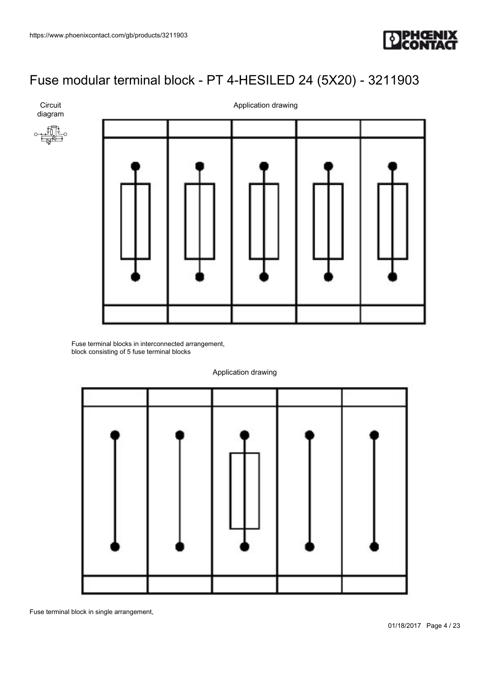**Circuit** diagram



## [Fuse modular terminal block - PT 4-HESILED 24 \(5X20\) - 3211903](https://www.phoenixcontact.com/gb/products/3211903)



Fuse terminal blocks in interconnected arrangement, block consisting of 5 fuse terminal blocks



Application drawing

Fuse terminal block in single arrangement,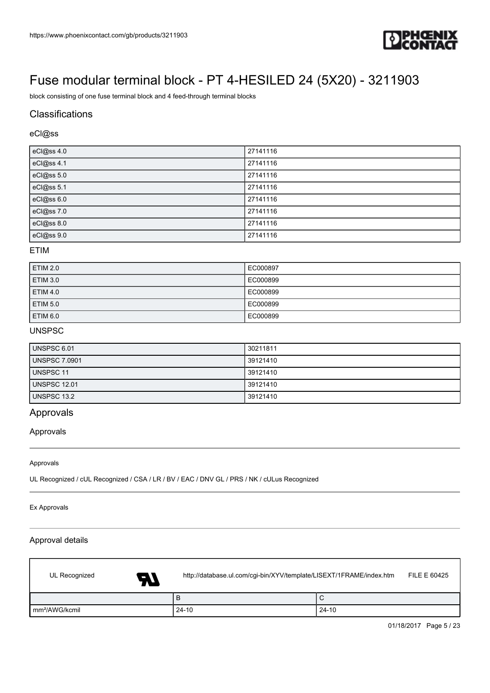

block consisting of one fuse terminal block and 4 feed-through terminal blocks

### **Classifications**

### eCl@ss

| eCl@ss 4.0 | 27141116 |
|------------|----------|
| eCl@ss 4.1 | 27141116 |
| eCl@ss 5.0 | 27141116 |
| eCl@ss 5.1 | 27141116 |
| eCl@ss 6.0 | 27141116 |
| eCl@ss 7.0 | 27141116 |
| eCl@ss 8.0 | 27141116 |
| eCl@ss 9.0 | 27141116 |

#### ETIM

| <b>ETIM 2.0</b> | EC000897 |
|-----------------|----------|
| <b>ETIM 3.0</b> | EC000899 |
| <b>ETIM 4.0</b> | EC000899 |
| <b>ETIM 5.0</b> | EC000899 |
| ETIM 6.0        | EC000899 |

### UNSPSC

| UNSPSC 6.01         | 30211811 |
|---------------------|----------|
| UNSPSC 7.0901       | 39121410 |
| UNSPSC 11           | 39121410 |
| <b>UNSPSC 12.01</b> | 39121410 |
| UNSPSC 13.2         | 39121410 |

### Approvals

Approvals

#### Approvals

UL Recognized / cUL Recognized / CSA / LR / BV / EAC / DNV GL / PRS / NK / cULus Recognized

Ex Approvals

ſ

#### Approval details

| UL Recognized<br>A7        | http://database.ul.com/cgi-bin/XYV/template/LISEXT/1FRAME/index.htm | FILE E 60425 |
|----------------------------|---------------------------------------------------------------------|--------------|
|                            | B                                                                   | ◡            |
| Im <sup>2</sup> /AWG/kcmil | $24 - 10$                                                           | $24-10$      |

01/18/2017 Page 5 / 23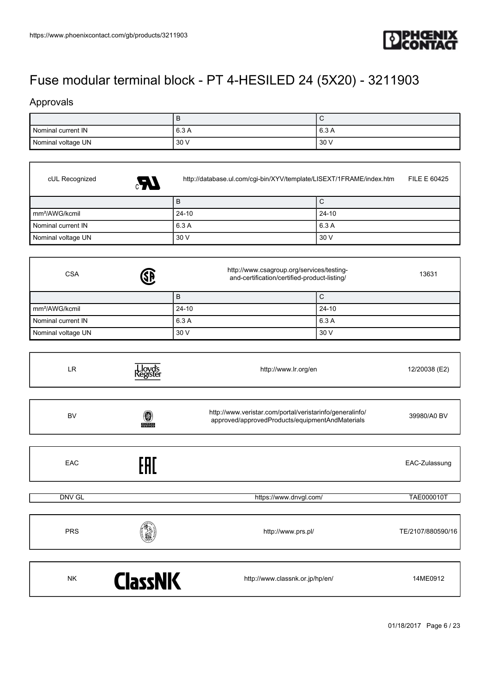

### Approvals

|                    | . .   |         |
|--------------------|-------|---------|
| Nominal current IN | 6.3 A | ' 6.3 A |
| Nominal voltage UN | 30 V  | 30V     |

| cUL Recognized<br>$\mathbb{R}$ | FILE E 60425<br>http://database.ul.com/cgi-bin/XYV/template/LISEXT/1FRAME/index.htm                |              |  |
|--------------------------------|----------------------------------------------------------------------------------------------------|--------------|--|
|                                | B                                                                                                  | $\mathsf{C}$ |  |
| mm <sup>2</sup> /AWG/kcmil     | $24 - 10$                                                                                          | $24 - 10$    |  |
| Nominal current IN             | 6.3 A                                                                                              | 6.3 A        |  |
| Nominal voltage UN             | 30 V                                                                                               | 30 V         |  |
| <b>SB</b><br><b>CSA</b>        | http://www.csagroup.org/services/testing-<br>13631<br>and-certification/certified-product-listing/ |              |  |
|                                | B                                                                                                  | $\mathsf{C}$ |  |
| mm <sup>2</sup> /AWG/kcmil     | $24 - 10$                                                                                          | $24 - 10$    |  |
| Nominal current IN             | 6.3 A                                                                                              | 6.3 A        |  |
| Nominal voltage UN             | 30 V                                                                                               | 30 V         |  |

| LR         | Lloyds<br>{egister | http://www.lr.org/en                                                                                        | 12/20038 (E2)     |
|------------|--------------------|-------------------------------------------------------------------------------------------------------------|-------------------|
|            |                    |                                                                                                             |                   |
| <b>BV</b>  | 0<br><b>BUREAU</b> | http://www.veristar.com/portal/veristarinfo/generalinfo/<br>approved/approvedProducts/equipmentAndMaterials | 39980/A0 BV       |
|            |                    |                                                                                                             |                   |
| EAC        | EAC                |                                                                                                             | EAC-Zulassung     |
|            |                    |                                                                                                             |                   |
| DNV GL     |                    | https://www.dnvgl.com/                                                                                      | <b>TAE000010T</b> |
|            |                    |                                                                                                             |                   |
| <b>PRS</b> |                    | http://www.prs.pl/                                                                                          | TE/2107/880590/16 |
|            |                    |                                                                                                             |                   |
| <b>NK</b>  | <b>ClassNK</b>     | http://www.classnk.or.jp/hp/en/                                                                             | 14ME0912          |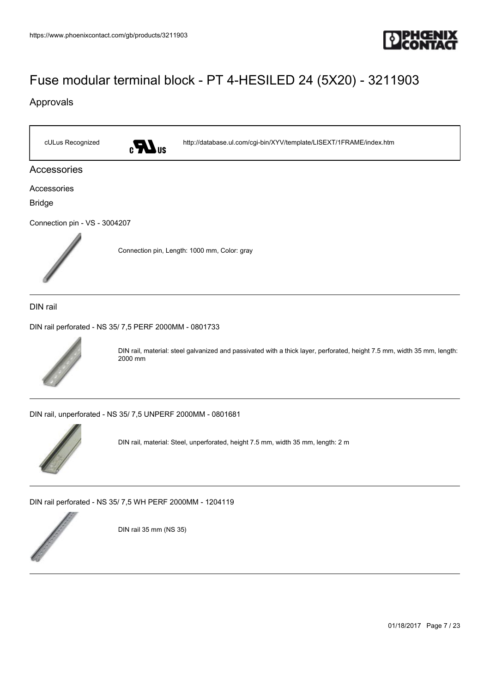

### Approvals

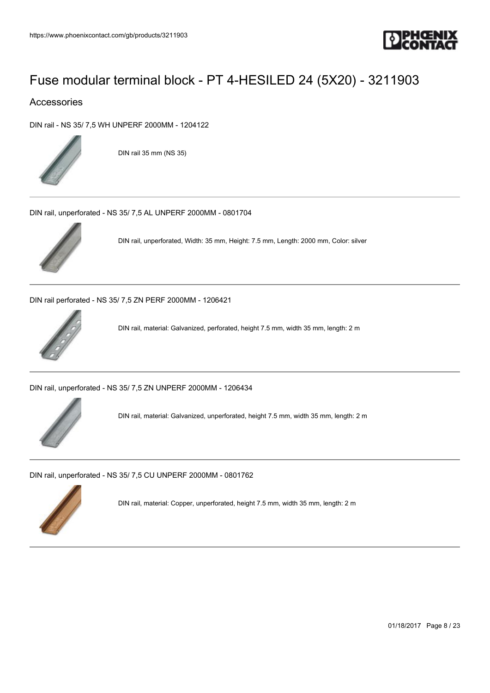

### Accessories

[DIN rail - NS 35/ 7,5 WH UNPERF 2000MM - 1204122](https://www.phoenixcontact.com/gb/products/1204122)



DIN rail 35 mm (NS 35)

[DIN rail, unperforated - NS 35/ 7,5 AL UNPERF 2000MM - 0801704](https://www.phoenixcontact.com/gb/products/0801704)



DIN rail, unperforated, Width: 35 mm, Height: 7.5 mm, Length: 2000 mm, Color: silver

[DIN rail perforated - NS 35/ 7,5 ZN PERF 2000MM - 1206421](https://www.phoenixcontact.com/gb/products/1206421)



DIN rail, material: Galvanized, perforated, height 7.5 mm, width 35 mm, length: 2 m

[DIN rail, unperforated - NS 35/ 7,5 ZN UNPERF 2000MM - 1206434](https://www.phoenixcontact.com/gb/products/1206434)



DIN rail, material: Galvanized, unperforated, height 7.5 mm, width 35 mm, length: 2 m

[DIN rail, unperforated - NS 35/ 7,5 CU UNPERF 2000MM - 0801762](https://www.phoenixcontact.com/gb/products/0801762)



DIN rail, material: Copper, unperforated, height 7.5 mm, width 35 mm, length: 2 m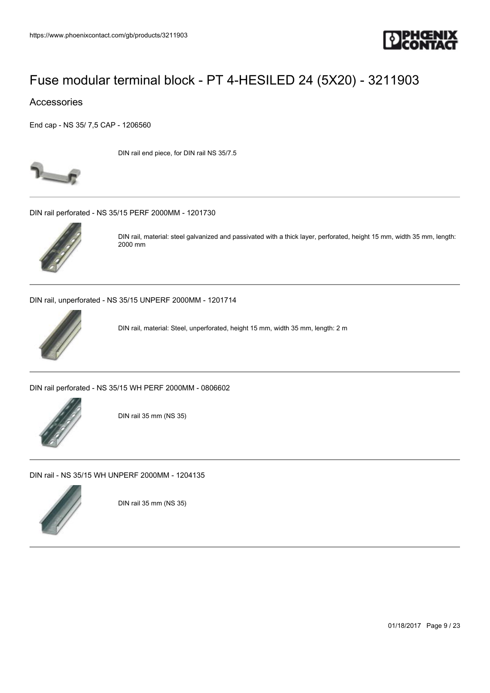

### Accessories

[End cap - NS 35/ 7,5 CAP - 1206560](https://www.phoenixcontact.com/gb/products/1206560)



DIN rail end piece, for DIN rail NS 35/7.5

[DIN rail perforated - NS 35/15 PERF 2000MM - 1201730](https://www.phoenixcontact.com/gb/products/1201730)



DIN rail, material: steel galvanized and passivated with a thick layer, perforated, height 15 mm, width 35 mm, length: 2000 mm

[DIN rail, unperforated - NS 35/15 UNPERF 2000MM - 1201714](https://www.phoenixcontact.com/gb/products/1201714)



DIN rail, material: Steel, unperforated, height 15 mm, width 35 mm, length: 2 m

[DIN rail perforated - NS 35/15 WH PERF 2000MM - 0806602](https://www.phoenixcontact.com/gb/products/0806602)



DIN rail 35 mm (NS 35)

[DIN rail - NS 35/15 WH UNPERF 2000MM - 1204135](https://www.phoenixcontact.com/gb/products/1204135)



DIN rail 35 mm (NS 35)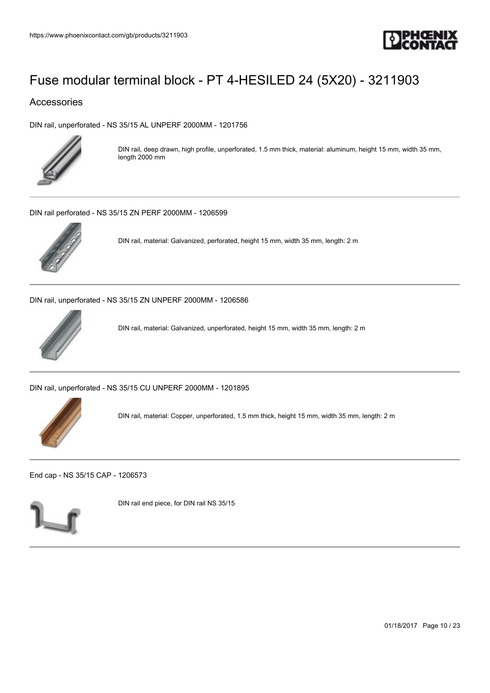

### Accessories

[DIN rail, unperforated - NS 35/15 AL UNPERF 2000MM - 1201756](https://www.phoenixcontact.com/gb/products/1201756)



DIN rail, deep drawn, high profile, unperforated, 1.5 mm thick, material: aluminum, height 15 mm, width 35 mm, length 2000 mm

[DIN rail perforated - NS 35/15 ZN PERF 2000MM - 1206599](https://www.phoenixcontact.com/gb/products/1206599)



DIN rail, material: Galvanized, perforated, height 15 mm, width 35 mm, length: 2 m

[DIN rail, unperforated - NS 35/15 ZN UNPERF 2000MM - 1206586](https://www.phoenixcontact.com/gb/products/1206586)



DIN rail, material: Galvanized, unperforated, height 15 mm, width 35 mm, length: 2 m

[DIN rail, unperforated - NS 35/15 CU UNPERF 2000MM - 1201895](https://www.phoenixcontact.com/gb/products/1201895)



DIN rail, material: Copper, unperforated, 1.5 mm thick, height 15 mm, width 35 mm, length: 2 m

[End cap - NS 35/15 CAP - 1206573](https://www.phoenixcontact.com/gb/products/1206573)



DIN rail end piece, for DIN rail NS 35/15

01/18/2017 Page 10 / 23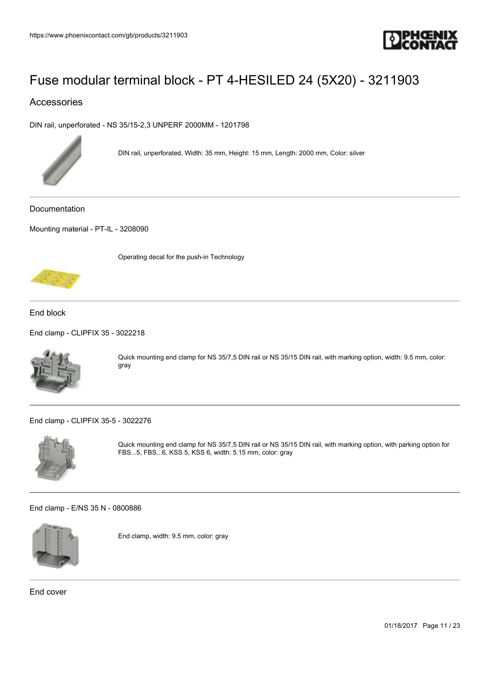

### Accessories

[DIN rail, unperforated - NS 35/15-2,3 UNPERF 2000MM - 1201798](https://www.phoenixcontact.com/gb/products/1201798)



DIN rail, unperforated, Width: 35 mm, Height: 15 mm, Length: 2000 mm, Color: silver

Documentation

[Mounting material - PT-IL - 3208090](https://www.phoenixcontact.com/gb/products/3208090)

Operating decal for the push-in Technology



End block

[End clamp - CLIPFIX 35 - 3022218](https://www.phoenixcontact.com/gb/products/3022218)



Quick mounting end clamp for NS 35/7,5 DIN rail or NS 35/15 DIN rail, with marking option, width: 9.5 mm, color: gray

[End clamp - CLIPFIX 35-5 - 3022276](https://www.phoenixcontact.com/gb/products/3022276)



Quick mounting end clamp for NS 35/7,5 DIN rail or NS 35/15 DIN rail, with marking option, with parking option for FBS...5, FBS...6, KSS 5, KSS 6, width: 5.15 mm, color: gray

[End clamp - E/NS 35 N - 0800886](https://www.phoenixcontact.com/gb/products/0800886)



End clamp, width: 9.5 mm, color: gray

End cover

01/18/2017 Page 11 / 23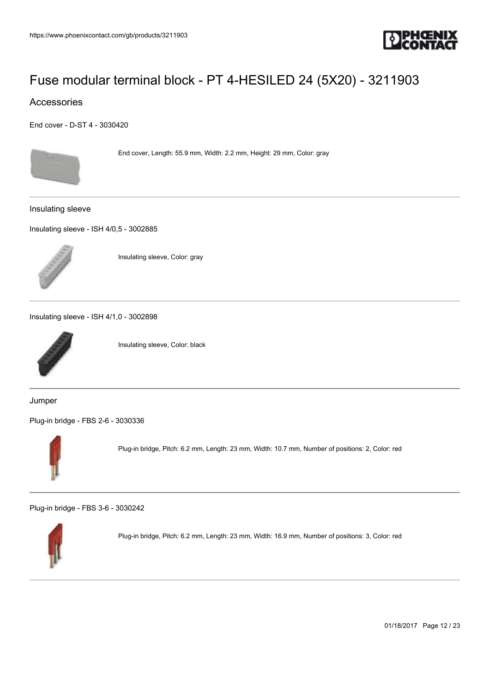

### Accessories

[End cover - D-ST 4 - 3030420](https://www.phoenixcontact.com/gb/products/3030420)



End cover, Length: 55.9 mm, Width: 2.2 mm, Height: 29 mm, Color: gray

Insulating sleeve

[Insulating sleeve - ISH 4/0,5 - 3002885](https://www.phoenixcontact.com/gb/products/3002885)



Insulating sleeve, Color: gray

[Insulating sleeve - ISH 4/1,0 - 3002898](https://www.phoenixcontact.com/gb/products/3002898)



Insulating sleeve, Color: black

Jumper

[Plug-in bridge - FBS 2-6 - 3030336](https://www.phoenixcontact.com/gb/products/3030336)



Plug-in bridge, Pitch: 6.2 mm, Length: 23 mm, Width: 10.7 mm, Number of positions: 2, Color: red

[Plug-in bridge - FBS 3-6 - 3030242](https://www.phoenixcontact.com/gb/products/3030242)



Plug-in bridge, Pitch: 6.2 mm, Length: 23 mm, Width: 16.9 mm, Number of positions: 3, Color: red

01/18/2017 Page 12 / 23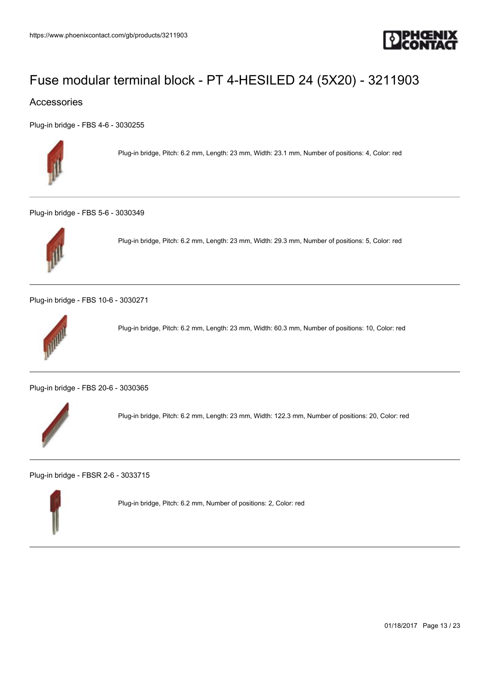

### Accessories

[Plug-in bridge - FBS 4-6 - 3030255](https://www.phoenixcontact.com/gb/products/3030255)



Plug-in bridge, Pitch: 6.2 mm, Length: 23 mm, Width: 23.1 mm, Number of positions: 4, Color: red

[Plug-in bridge - FBS 5-6 - 3030349](https://www.phoenixcontact.com/gb/products/3030349)



Plug-in bridge, Pitch: 6.2 mm, Length: 23 mm, Width: 29.3 mm, Number of positions: 5, Color: red

[Plug-in bridge - FBS 10-6 - 3030271](https://www.phoenixcontact.com/gb/products/3030271)



Plug-in bridge, Pitch: 6.2 mm, Length: 23 mm, Width: 60.3 mm, Number of positions: 10, Color: red

[Plug-in bridge - FBS 20-6 - 3030365](https://www.phoenixcontact.com/gb/products/3030365)



Plug-in bridge, Pitch: 6.2 mm, Length: 23 mm, Width: 122.3 mm, Number of positions: 20, Color: red

[Plug-in bridge - FBSR 2-6 - 3033715](https://www.phoenixcontact.com/gb/products/3033715)



Plug-in bridge, Pitch: 6.2 mm, Number of positions: 2, Color: red

01/18/2017 Page 13 / 23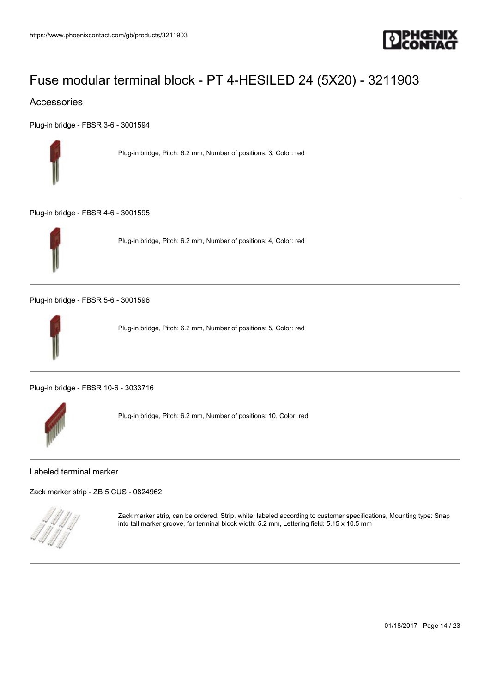

### Accessories

[Plug-in bridge - FBSR 3-6 - 3001594](https://www.phoenixcontact.com/gb/products/3001594)



Plug-in bridge, Pitch: 6.2 mm, Number of positions: 3, Color: red

[Plug-in bridge - FBSR 4-6 - 3001595](https://www.phoenixcontact.com/gb/products/3001595)



Plug-in bridge, Pitch: 6.2 mm, Number of positions: 4, Color: red

[Plug-in bridge - FBSR 5-6 - 3001596](https://www.phoenixcontact.com/gb/products/3001596)



Plug-in bridge, Pitch: 6.2 mm, Number of positions: 5, Color: red

[Plug-in bridge - FBSR 10-6 - 3033716](https://www.phoenixcontact.com/gb/products/3033716)



Plug-in bridge, Pitch: 6.2 mm, Number of positions: 10, Color: red

#### Labeled terminal marker

[Zack marker strip - ZB 5 CUS - 0824962](https://www.phoenixcontact.com/gb/products/0824962)



Zack marker strip, can be ordered: Strip, white, labeled according to customer specifications, Mounting type: Snap into tall marker groove, for terminal block width: 5.2 mm, Lettering field: 5.15 x 10.5 mm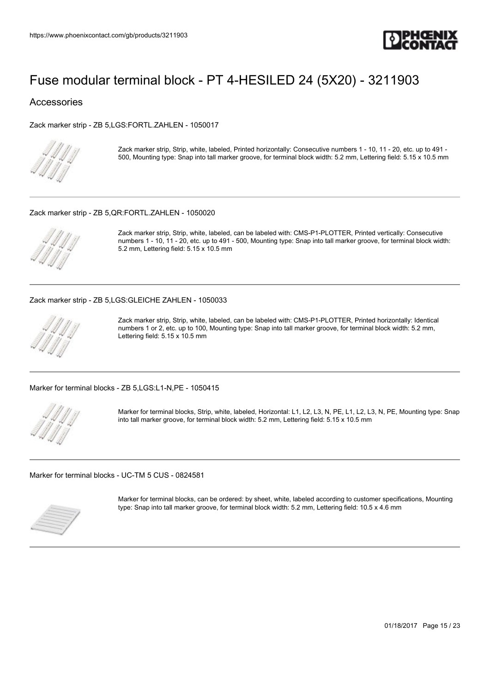

#### Accessories

[Zack marker strip - ZB 5,LGS:FORTL.ZAHLEN - 1050017](https://www.phoenixcontact.com/gb/products/1050017)



Zack marker strip, Strip, white, labeled, Printed horizontally: Consecutive numbers 1 - 10, 11 - 20, etc. up to 491 - 500, Mounting type: Snap into tall marker groove, for terminal block width: 5.2 mm, Lettering field: 5.15 x 10.5 mm

#### [Zack marker strip - ZB 5,QR:FORTL.ZAHLEN - 1050020](https://www.phoenixcontact.com/gb/products/1050020)



Zack marker strip, Strip, white, labeled, can be labeled with: CMS-P1-PLOTTER, Printed vertically: Consecutive numbers 1 - 10, 11 - 20, etc. up to 491 - 500, Mounting type: Snap into tall marker groove, for terminal block width: 5.2 mm, Lettering field: 5.15 x 10.5 mm

#### [Zack marker strip - ZB 5,LGS:GLEICHE ZAHLEN - 1050033](https://www.phoenixcontact.com/gb/products/1050033)



Zack marker strip, Strip, white, labeled, can be labeled with: CMS-P1-PLOTTER, Printed horizontally: Identical numbers 1 or 2, etc. up to 100, Mounting type: Snap into tall marker groove, for terminal block width: 5.2 mm, Lettering field: 5.15 x 10.5 mm

[Marker for terminal blocks - ZB 5,LGS:L1-N,PE - 1050415](https://www.phoenixcontact.com/gb/products/1050415)



Marker for terminal blocks, Strip, white, labeled, Horizontal: L1, L2, L3, N, PE, L1, L2, L3, N, PE, Mounting type: Snap into tall marker groove, for terminal block width: 5.2 mm, Lettering field: 5.15 x 10.5 mm

[Marker for terminal blocks - UC-TM 5 CUS - 0824581](https://www.phoenixcontact.com/gb/products/0824581)



Marker for terminal blocks, can be ordered: by sheet, white, labeled according to customer specifications, Mounting type: Snap into tall marker groove, for terminal block width: 5.2 mm, Lettering field: 10.5 x 4.6 mm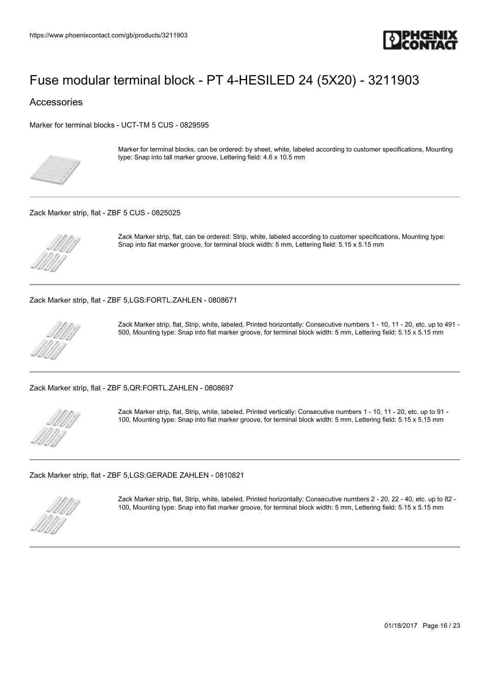

Accessories

[Marker for terminal blocks - UCT-TM 5 CUS - 0829595](https://www.phoenixcontact.com/gb/products/0829595)



Marker for terminal blocks, can be ordered: by sheet, white, labeled according to customer specifications, Mounting type: Snap into tall marker groove, Lettering field: 4.6 x 10.5 mm

#### [Zack Marker strip, flat - ZBF 5 CUS - 0825025](https://www.phoenixcontact.com/gb/products/0825025)



Zack Marker strip, flat, can be ordered: Strip, white, labeled according to customer specifications, Mounting type: Snap into flat marker groove, for terminal block width: 5 mm, Lettering field: 5.15 x 5.15 mm

[Zack Marker strip, flat - ZBF 5,LGS:FORTL.ZAHLEN - 0808671](https://www.phoenixcontact.com/gb/products/0808671)



Zack Marker strip, flat, Strip, white, labeled, Printed horizontally: Consecutive numbers 1 - 10, 11 - 20, etc. up to 491 - 500, Mounting type: Snap into flat marker groove, for terminal block width: 5 mm, Lettering field: 5.15 x 5.15 mm

[Zack Marker strip, flat - ZBF 5,QR:FORTL.ZAHLEN - 0808697](https://www.phoenixcontact.com/gb/products/0808697)



Zack Marker strip, flat, Strip, white, labeled, Printed vertically: Consecutive numbers 1 - 10, 11 - 20, etc. up to 91 - 100, Mounting type: Snap into flat marker groove, for terminal block width: 5 mm, Lettering field: 5.15 x 5.15 mm

[Zack Marker strip, flat - ZBF 5,LGS:GERADE ZAHLEN - 0810821](https://www.phoenixcontact.com/gb/products/0810821)



Zack Marker strip, flat, Strip, white, labeled, Printed horizontally: Consecutive numbers 2 - 20, 22 - 40, etc. up to 82 - 100, Mounting type: Snap into flat marker groove, for terminal block width: 5 mm, Lettering field: 5.15 x 5.15 mm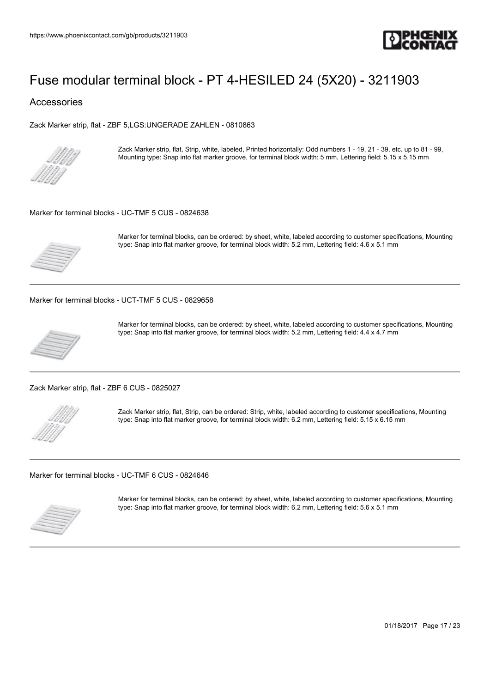

### Accessories

[Zack Marker strip, flat - ZBF 5,LGS:UNGERADE ZAHLEN - 0810863](https://www.phoenixcontact.com/gb/products/0810863)



Zack Marker strip, flat, Strip, white, labeled, Printed horizontally: Odd numbers 1 - 19, 21 - 39, etc. up to 81 - 99, Mounting type: Snap into flat marker groove, for terminal block width: 5 mm, Lettering field: 5.15 x 5.15 mm

#### [Marker for terminal blocks - UC-TMF 5 CUS - 0824638](https://www.phoenixcontact.com/gb/products/0824638)



Marker for terminal blocks, can be ordered: by sheet, white, labeled according to customer specifications, Mounting type: Snap into flat marker groove, for terminal block width: 5.2 mm, Lettering field: 4.6 x 5.1 mm

[Marker for terminal blocks - UCT-TMF 5 CUS - 0829658](https://www.phoenixcontact.com/gb/products/0829658)



Marker for terminal blocks, can be ordered: by sheet, white, labeled according to customer specifications, Mounting type: Snap into flat marker groove, for terminal block width: 5.2 mm, Lettering field: 4.4 x 4.7 mm

[Zack Marker strip, flat - ZBF 6 CUS - 0825027](https://www.phoenixcontact.com/gb/products/0825027)



Zack Marker strip, flat, Strip, can be ordered: Strip, white, labeled according to customer specifications, Mounting type: Snap into flat marker groove, for terminal block width: 6.2 mm, Lettering field: 5.15 x 6.15 mm

[Marker for terminal blocks - UC-TMF 6 CUS - 0824646](https://www.phoenixcontact.com/gb/products/0824646)



Marker for terminal blocks, can be ordered: by sheet, white, labeled according to customer specifications, Mounting type: Snap into flat marker groove, for terminal block width: 6.2 mm, Lettering field: 5.6 x 5.1 mm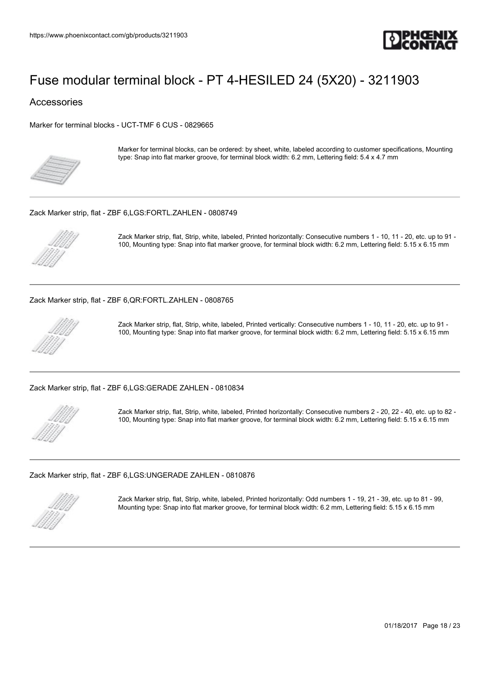

### Accessories

[Marker for terminal blocks - UCT-TMF 6 CUS - 0829665](https://www.phoenixcontact.com/gb/products/0829665)



Marker for terminal blocks, can be ordered: by sheet, white, labeled according to customer specifications, Mounting type: Snap into flat marker groove, for terminal block width: 6.2 mm, Lettering field: 5.4 x 4.7 mm

#### [Zack Marker strip, flat - ZBF 6,LGS:FORTL.ZAHLEN - 0808749](https://www.phoenixcontact.com/gb/products/0808749)



Zack Marker strip, flat, Strip, white, labeled, Printed horizontally: Consecutive numbers 1 - 10, 11 - 20, etc. up to 91 - 100, Mounting type: Snap into flat marker groove, for terminal block width: 6.2 mm, Lettering field: 5.15 x 6.15 mm

[Zack Marker strip, flat - ZBF 6,QR:FORTL.ZAHLEN - 0808765](https://www.phoenixcontact.com/gb/products/0808765)



Zack Marker strip, flat, Strip, white, labeled, Printed vertically: Consecutive numbers 1 - 10, 11 - 20, etc. up to 91 - 100, Mounting type: Snap into flat marker groove, for terminal block width: 6.2 mm, Lettering field: 5.15 x 6.15 mm

[Zack Marker strip, flat - ZBF 6,LGS:GERADE ZAHLEN - 0810834](https://www.phoenixcontact.com/gb/products/0810834)



Zack Marker strip, flat, Strip, white, labeled, Printed horizontally: Consecutive numbers 2 - 20, 22 - 40, etc. up to 82 - 100, Mounting type: Snap into flat marker groove, for terminal block width: 6.2 mm, Lettering field: 5.15 x 6.15 mm

#### [Zack Marker strip, flat - ZBF 6,LGS:UNGERADE ZAHLEN - 0810876](https://www.phoenixcontact.com/gb/products/0810876)



Zack Marker strip, flat, Strip, white, labeled, Printed horizontally: Odd numbers 1 - 19, 21 - 39, etc. up to 81 - 99, Mounting type: Snap into flat marker groove, for terminal block width: 6.2 mm, Lettering field: 5.15 x 6.15 mm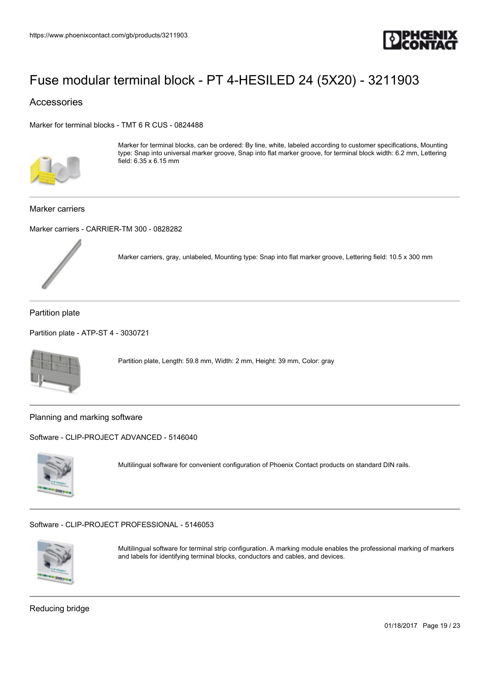

### Accessories

[Marker for terminal blocks - TMT 6 R CUS - 0824488](https://www.phoenixcontact.com/gb/products/0824488)



Marker for terminal blocks, can be ordered: By line, white, labeled according to customer specifications, Mounting type: Snap into universal marker groove, Snap into flat marker groove, for terminal block width: 6.2 mm, Lettering field: 6.35 x 6.15 mm

#### Marker carriers

[Marker carriers - CARRIER-TM 300 - 0828282](https://www.phoenixcontact.com/gb/products/0828282)



Marker carriers, gray, unlabeled, Mounting type: Snap into flat marker groove, Lettering field: 10.5 x 300 mm

Partition plate

```
Partition plate - ATP-ST 4 - 3030721
```


Partition plate, Length: 59.8 mm, Width: 2 mm, Height: 39 mm, Color: gray

Planning and marking software

[Software - CLIP-PROJECT ADVANCED - 5146040](https://www.phoenixcontact.com/gb/products/5146040)



Multilingual software for convenient configuration of Phoenix Contact products on standard DIN rails.

[Software - CLIP-PROJECT PROFESSIONAL - 5146053](https://www.phoenixcontact.com/gb/products/5146053)



Multilingual software for terminal strip configuration. A marking module enables the professional marking of markers and labels for identifying terminal blocks, conductors and cables, and devices.

Reducing bridge

01/18/2017 Page 19 / 23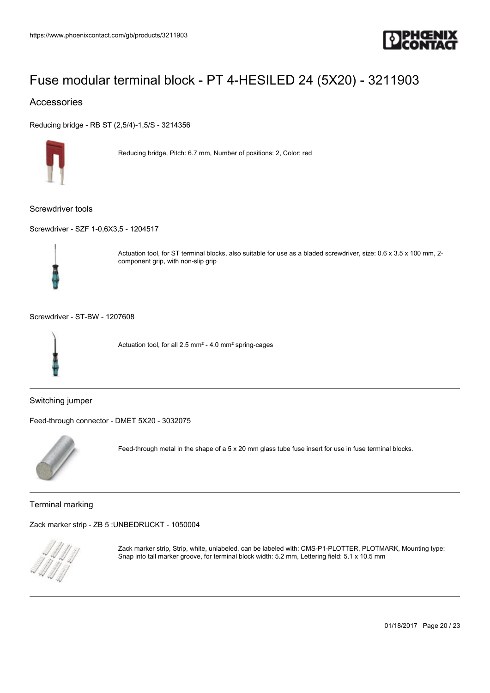

### Accessories

[Reducing bridge - RB ST \(2,5/4\)-1,5/S - 3214356](https://www.phoenixcontact.com/gb/products/3214356)



Reducing bridge, Pitch: 6.7 mm, Number of positions: 2, Color: red

Screwdriver tools

[Screwdriver - SZF 1-0,6X3,5 - 1204517](https://www.phoenixcontact.com/gb/products/1204517)



Actuation tool, for ST terminal blocks, also suitable for use as a bladed screwdriver, size: 0.6 x 3.5 x 100 mm, 2 component grip, with non-slip grip

[Screwdriver - ST-BW - 1207608](https://www.phoenixcontact.com/gb/products/1207608)



Actuation tool, for all 2.5 mm² - 4.0 mm² spring-cages

Switching jumper

[Feed-through connector - DMET 5X20 - 3032075](https://www.phoenixcontact.com/gb/products/3032075)



Feed-through metal in the shape of a 5 x 20 mm glass tube fuse insert for use in fuse terminal blocks.

Terminal marking

[Zack marker strip - ZB 5 :UNBEDRUCKT - 1050004](https://www.phoenixcontact.com/gb/products/1050004)



Zack marker strip, Strip, white, unlabeled, can be labeled with: CMS-P1-PLOTTER, PLOTMARK, Mounting type: Snap into tall marker groove, for terminal block width: 5.2 mm, Lettering field: 5.1 x 10.5 mm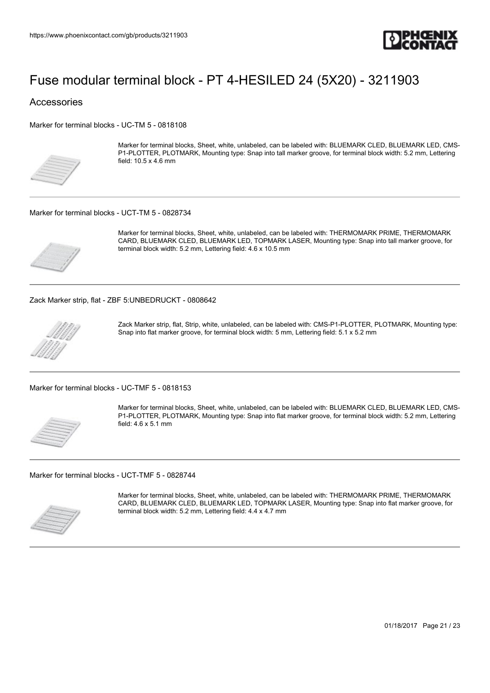

### Accessories

[Marker for terminal blocks - UC-TM 5 - 0818108](https://www.phoenixcontact.com/gb/products/0818108)



Marker for terminal blocks, Sheet, white, unlabeled, can be labeled with: BLUEMARK CLED, BLUEMARK LED, CMS-P1-PLOTTER, PLOTMARK, Mounting type: Snap into tall marker groove, for terminal block width: 5.2 mm, Lettering field: 10.5 x 4.6 mm

#### [Marker for terminal blocks - UCT-TM 5 - 0828734](https://www.phoenixcontact.com/gb/products/0828734)



Marker for terminal blocks, Sheet, white, unlabeled, can be labeled with: THERMOMARK PRIME, THERMOMARK CARD, BLUEMARK CLED, BLUEMARK LED, TOPMARK LASER, Mounting type: Snap into tall marker groove, for terminal block width: 5.2 mm, Lettering field: 4.6 x 10.5 mm

[Zack Marker strip, flat - ZBF 5:UNBEDRUCKT - 0808642](https://www.phoenixcontact.com/gb/products/0808642)



Zack Marker strip, flat, Strip, white, unlabeled, can be labeled with: CMS-P1-PLOTTER, PLOTMARK, Mounting type: Snap into flat marker groove, for terminal block width: 5 mm, Lettering field: 5.1 x 5.2 mm

[Marker for terminal blocks - UC-TMF 5 - 0818153](https://www.phoenixcontact.com/gb/products/0818153)



Marker for terminal blocks, Sheet, white, unlabeled, can be labeled with: BLUEMARK CLED, BLUEMARK LED, CMS-P1-PLOTTER, PLOTMARK, Mounting type: Snap into flat marker groove, for terminal block width: 5.2 mm, Lettering field: 4.6 x 5.1 mm

[Marker for terminal blocks - UCT-TMF 5 - 0828744](https://www.phoenixcontact.com/gb/products/0828744)



Marker for terminal blocks, Sheet, white, unlabeled, can be labeled with: THERMOMARK PRIME, THERMOMARK CARD, BLUEMARK CLED, BLUEMARK LED, TOPMARK LASER, Mounting type: Snap into flat marker groove, for terminal block width: 5.2 mm, Lettering field: 4.4 x 4.7 mm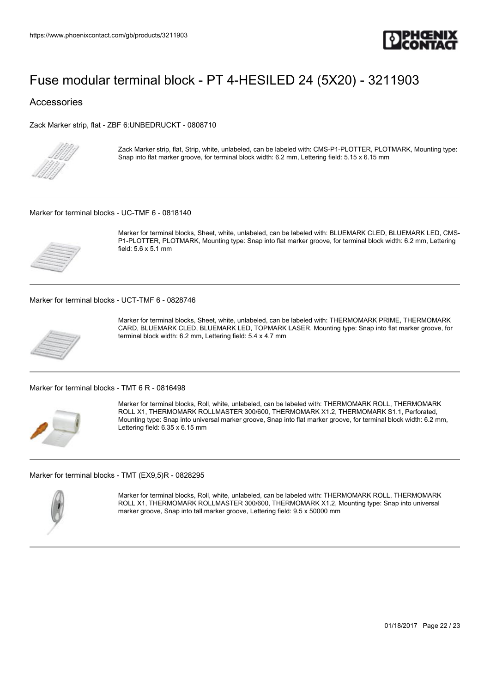

Accessories

[Zack Marker strip, flat - ZBF 6:UNBEDRUCKT - 0808710](https://www.phoenixcontact.com/gb/products/0808710)



Zack Marker strip, flat, Strip, white, unlabeled, can be labeled with: CMS-P1-PLOTTER, PLOTMARK, Mounting type: Snap into flat marker groove, for terminal block width: 6.2 mm, Lettering field: 5.15 x 6.15 mm

[Marker for terminal blocks - UC-TMF 6 - 0818140](https://www.phoenixcontact.com/gb/products/0818140)



Marker for terminal blocks, Sheet, white, unlabeled, can be labeled with: BLUEMARK CLED, BLUEMARK LED, CMS-P1-PLOTTER, PLOTMARK, Mounting type: Snap into flat marker groove, for terminal block width: 6.2 mm, Lettering field: 5.6 x 5.1 mm

[Marker for terminal blocks - UCT-TMF 6 - 0828746](https://www.phoenixcontact.com/gb/products/0828746)



Marker for terminal blocks, Sheet, white, unlabeled, can be labeled with: THERMOMARK PRIME, THERMOMARK CARD, BLUEMARK CLED, BLUEMARK LED, TOPMARK LASER, Mounting type: Snap into flat marker groove, for terminal block width: 6.2 mm, Lettering field: 5.4 x 4.7 mm

[Marker for terminal blocks - TMT 6 R - 0816498](https://www.phoenixcontact.com/gb/products/0816498)



Marker for terminal blocks, Roll, white, unlabeled, can be labeled with: THERMOMARK ROLL, THERMOMARK ROLL X1, THERMOMARK ROLLMASTER 300/600, THERMOMARK X1.2, THERMOMARK S1.1, Perforated, Mounting type: Snap into universal marker groove, Snap into flat marker groove, for terminal block width: 6.2 mm, Lettering field: 6.35 x 6.15 mm

[Marker for terminal blocks - TMT \(EX9,5\)R - 0828295](https://www.phoenixcontact.com/gb/products/0828295)



Marker for terminal blocks, Roll, white, unlabeled, can be labeled with: THERMOMARK ROLL, THERMOMARK ROLL X1, THERMOMARK ROLLMASTER 300/600, THERMOMARK X1.2, Mounting type: Snap into universal marker groove, Snap into tall marker groove, Lettering field: 9.5 x 50000 mm